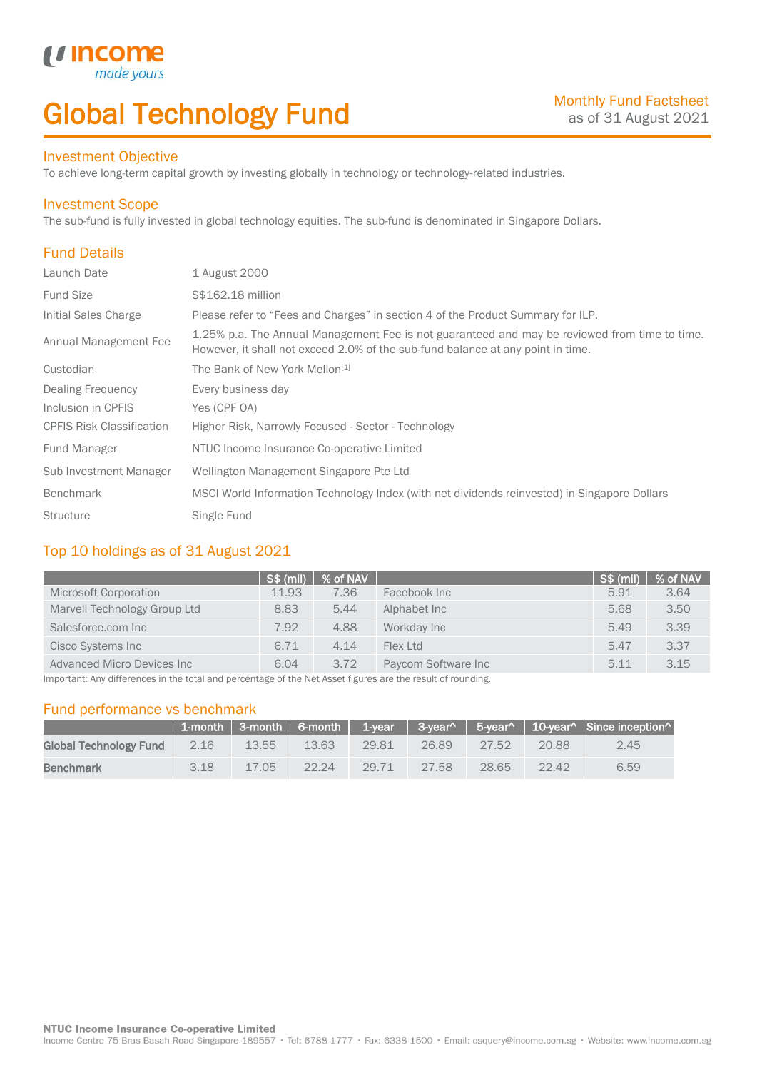# Global Technology Fund

## Investment Objective

made<sub>1</sub>

*u* incom

To achieve long-term capital growth by investing globally in technology or technology-related industries.

#### Investment Scope

The sub-fund is fully invested in global technology equities. The sub-fund is denominated in Singapore Dollars.

# Fund Details

I

| Launch Date                      | 1 August 2000                                                                                                                                                                    |
|----------------------------------|----------------------------------------------------------------------------------------------------------------------------------------------------------------------------------|
| <b>Fund Size</b>                 | S\$162.18 million                                                                                                                                                                |
| Initial Sales Charge             | Please refer to "Fees and Charges" in section 4 of the Product Summary for ILP.                                                                                                  |
| Annual Management Fee            | 1.25% p.a. The Annual Management Fee is not guaranteed and may be reviewed from time to time.<br>However, it shall not exceed 2.0% of the sub-fund balance at any point in time. |
| Custodian                        | The Bank of New York Mellon <sup>[1]</sup>                                                                                                                                       |
| Dealing Frequency                | Every business day                                                                                                                                                               |
| Inclusion in CPFIS               | Yes (CPF OA)                                                                                                                                                                     |
| <b>CPFIS Risk Classification</b> | Higher Risk, Narrowly Focused - Sector - Technology                                                                                                                              |
| <b>Fund Manager</b>              | NTUC Income Insurance Co-operative Limited                                                                                                                                       |
| Sub Investment Manager           | Wellington Management Singapore Pte Ltd                                                                                                                                          |
| <b>Benchmark</b>                 | MSCI World Information Technology Index (with net dividends reinvested) in Singapore Dollars                                                                                     |
| <b>Structure</b>                 | Single Fund                                                                                                                                                                      |

## Top 10 holdings as of 31 August 2021

|                              | $S\$ (mil) | % of NAV |                     | S\$ (mil) | % of NAV |
|------------------------------|------------|----------|---------------------|-----------|----------|
| <b>Microsoft Corporation</b> | 11.93      | 7.36     | Facebook Inc        | 5.91      | 3.64     |
| Marvell Technology Group Ltd | 8.83       | 5.44     | Alphabet Inc        | 5.68      | 3.50     |
| Salesforce.com Inc           | 7.92       | 4.88     | Workday Inc         | 5.49      | 3.39     |
| Cisco Systems Inc            | 6.71       | 4.14     | Flex I td           | 5.47      | 3.37     |
| Advanced Micro Devices Inc   | 6.04       | 3.72     | Paycom Software Inc | 5.11      | 3.15     |

Important: Any differences in the total and percentage of the Net Asset figures are the result of rounding.

## Fund performance vs benchmark

|                        |      |       |        |       |       |       |       | $\parallel$ 1-month   3-month   6-month   1-year   3-year^   5-year^   10-year^   Since inception^ |
|------------------------|------|-------|--------|-------|-------|-------|-------|----------------------------------------------------------------------------------------------------|
| Global Technology Fund | 2.16 | 13.55 | 13.63  | 29.81 | 26.89 | 27.52 | 20.88 | 2.45                                                                                               |
| <b>Benchmark</b>       | 3.18 | 17.05 | -22.24 | 29.71 | 27.58 | 28.65 | 22.42 | 6.59                                                                                               |

Income Centre 75 Bras Basah Road Singapore 189557 · Tel: 6788 1777 · Fax: 6338 1500 · Email: csquery@income.com.sg · Website: www.income.com.sg